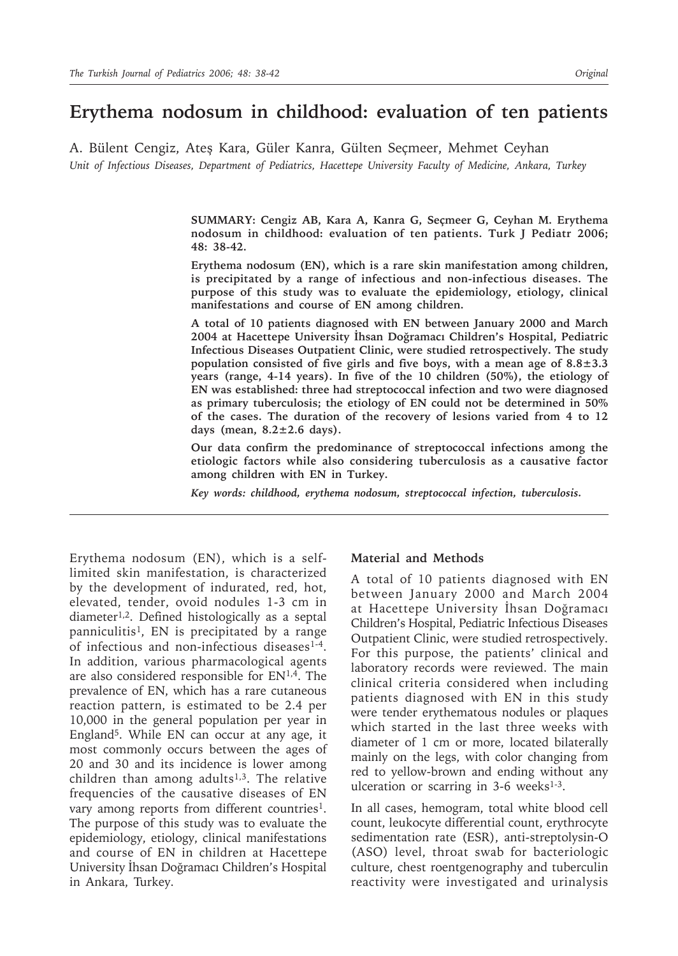# **Erythema nodosum in childhood: evaluation of ten patients**

A. Bülent Cengiz, Ateş Kara, Güler Kanra, Gülten Seçmeer, Mehmet Ceyhan *Unit of Infectious Diseases, Department of Pediatrics, Hacettepe University Faculty of Medicine, Ankara, Turkey*

> **SUMMARY: Cengiz AB, Kara A, Kanra G, Seçmeer G, Ceyhan M. Erythema nodosum in childhood: evaluation of ten patients. Turk J Pediatr 2006; 48: 38-42.**

> **Erythema nodosum (EN), which is a rare skin manifestation among children, is precipitated by a range of infectious and non-infectious diseases. The purpose of this study was to evaluate the epidemiology, etiology, clinical manifestations and course of EN among children.**

> **A total of 10 patients diagnosed with EN between January 2000 and March 2004 at Hacettepe University İhsan Doğramacı Children's Hospital, Pediatric Infectious Diseases Outpatient Clinic, were studied retrospectively. The study population consisted of five girls and five boys, with a mean age of 8.8±3.3 years (range, 4-14 years). In five of the 10 children (50%), the etiology of EN was established: three had streptococcal infection and two were diagnosed as primary tuberculosis; the etiology of EN could not be determined in 50% of the cases. The duration of the recovery of lesions varied from 4 to 12 days (mean, 8.2±2.6 days).**

> **Our data confirm the predominance of streptococcal infections among the etiologic factors while also considering tuberculosis as a causative factor among children with EN in Turkey.**

*Key words: childhood, erythema nodosum, streptococcal infection, tuberculosis.*

Erythema nodosum (EN), which is a selflimited skin manifestation, is characterized by the development of indurated, red, hot, elevated, tender, ovoid nodules 1-3 cm in diameter1,2. Defined histologically as a septal panniculitis<sup>1</sup>, EN is precipitated by a range of infectious and non-infectious diseases<sup>1-4</sup>. In addition, various pharmacological agents are also considered responsible for EN1,4. The prevalence of EN, which has a rare cutaneous reaction pattern, is estimated to be 2.4 per 10,000 in the general population per year in England5. While EN can occur at any age, it most commonly occurs between the ages of 20 and 30 and its incidence is lower among children than among adults $1,3$ . The relative frequencies of the causative diseases of EN vary among reports from different countries<sup>1</sup>. The purpose of this study was to evaluate the epidemiology, etiology, clinical manifestations and course of EN in children at Hacettepe University İhsan Doğramacı Children's Hospital in Ankara, Turkey.

#### **Material and Methods**

A total of 10 patients diagnosed with EN between January 2000 and March 2004 at Hacettepe University İhsan Doğramacı Children's Hospital, Pediatric Infectious Diseases Outpatient Clinic, were studied retrospectively. For this purpose, the patients' clinical and laboratory records were reviewed. The main clinical criteria considered when including patients diagnosed with EN in this study were tender erythematous nodules or plaques which started in the last three weeks with diameter of 1 cm or more, located bilaterally mainly on the legs, with color changing from red to yellow-brown and ending without any ulceration or scarring in  $3-6$  weeks<sup>1-3</sup>.

In all cases, hemogram, total white blood cell count, leukocyte differential count, erythrocyte sedimentation rate (ESR), anti-streptolysin-O (ASO) level, throat swab for bacteriologic culture, chest roentgenography and tuberculin reactivity were investigated and urinalysis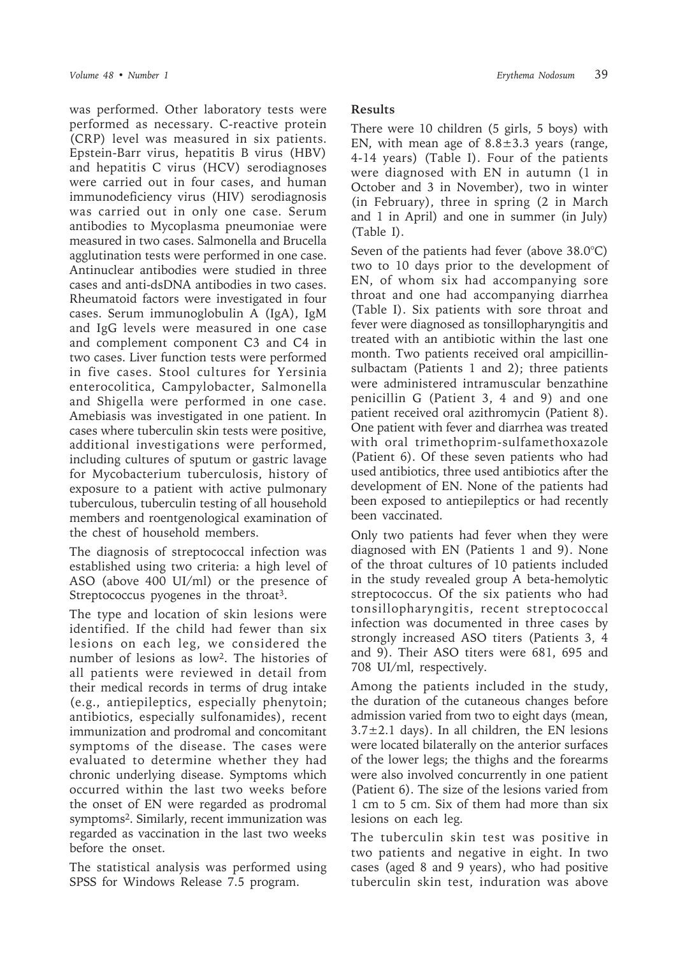was performed. Other laboratory tests were performed as necessary. C-reactive protein (CRP) level was measured in six patients. Epstein-Barr virus, hepatitis B virus (HBV) and hepatitis C virus (HCV) serodiagnoses were carried out in four cases, and human immunodeficiency virus (HIV) serodiagnosis was carried out in only one case. Serum antibodies to Mycoplasma pneumoniae were measured in two cases. Salmonella and Brucella agglutination tests were performed in one case. Antinuclear antibodies were studied in three cases and anti-dsDNA antibodies in two cases. Rheumatoid factors were investigated in four cases. Serum immunoglobulin A (IgA), IgM and IgG levels were measured in one case and complement component C3 and C4 in two cases. Liver function tests were performed in five cases. Stool cultures for Yersinia enterocolitica, Campylobacter, Salmonella and Shigella were performed in one case. Amebiasis was investigated in one patient. In cases where tuberculin skin tests were positive, additional investigations were performed, including cultures of sputum or gastric lavage for Mycobacterium tuberculosis, history of exposure to a patient with active pulmonary tuberculous, tuberculin testing of all household members and roentgenological examination of the chest of household members.

The diagnosis of streptococcal infection was established using two criteria: a high level of ASO (above 400 UI/ml) or the presence of Streptococcus pyogenes in the throat<sup>3</sup>.

The type and location of skin lesions were identified. If the child had fewer than six lesions on each leg, we considered the number of lesions as low2. The histories of all patients were reviewed in detail from their medical records in terms of drug intake (e.g., antiepileptics, especially phenytoin; antibiotics, especially sulfonamides), recent immunization and prodromal and concomitant symptoms of the disease. The cases were evaluated to determine whether they had chronic underlying disease. Symptoms which occurred within the last two weeks before the onset of EN were regarded as prodromal symptoms2. Similarly, recent immunization was regarded as vaccination in the last two weeks before the onset.

The statistical analysis was performed using SPSS for Windows Release 7.5 program.

## **Results**

There were 10 children (5 girls, 5 boys) with EN, with mean age of  $8.8 \pm 3.3$  years (range, 4-14 years) (Table I). Four of the patients were diagnosed with EN in autumn (1 in October and 3 in November), two in winter (in February), three in spring (2 in March and 1 in April) and one in summer (in July) (Table I).

Seven of the patients had fever (above 38.0°C) two to 10 days prior to the development of EN, of whom six had accompanying sore throat and one had accompanying diarrhea (Table I). Six patients with sore throat and fever were diagnosed as tonsillopharyngitis and treated with an antibiotic within the last one month. Two patients received oral ampicillinsulbactam (Patients 1 and 2); three patients were administered intramuscular benzathine penicillin G (Patient 3, 4 and 9) and one patient received oral azithromycin (Patient 8). One patient with fever and diarrhea was treated with oral trimethoprim-sulfamethoxazole (Patient 6). Of these seven patients who had used antibiotics, three used antibiotics after the development of EN. None of the patients had been exposed to antiepileptics or had recently been vaccinated.

Only two patients had fever when they were diagnosed with EN (Patients 1 and 9). None of the throat cultures of 10 patients included in the study revealed group A beta-hemolytic streptococcus. Of the six patients who had tonsillopharyngitis, recent streptococcal infection was documented in three cases by strongly increased ASO titers (Patients 3, 4 and 9). Their ASO titers were 681, 695 and 708 UI/ml, respectively.

Among the patients included in the study, the duration of the cutaneous changes before admission varied from two to eight days (mean,  $3.7\pm2.1$  days). In all children, the EN lesions were located bilaterally on the anterior surfaces of the lower legs; the thighs and the forearms were also involved concurrently in one patient (Patient 6). The size of the lesions varied from 1 cm to 5 cm. Six of them had more than six lesions on each leg.

The tuberculin skin test was positive in two patients and negative in eight. In two cases (aged 8 and 9 years), who had positive tuberculin skin test, induration was above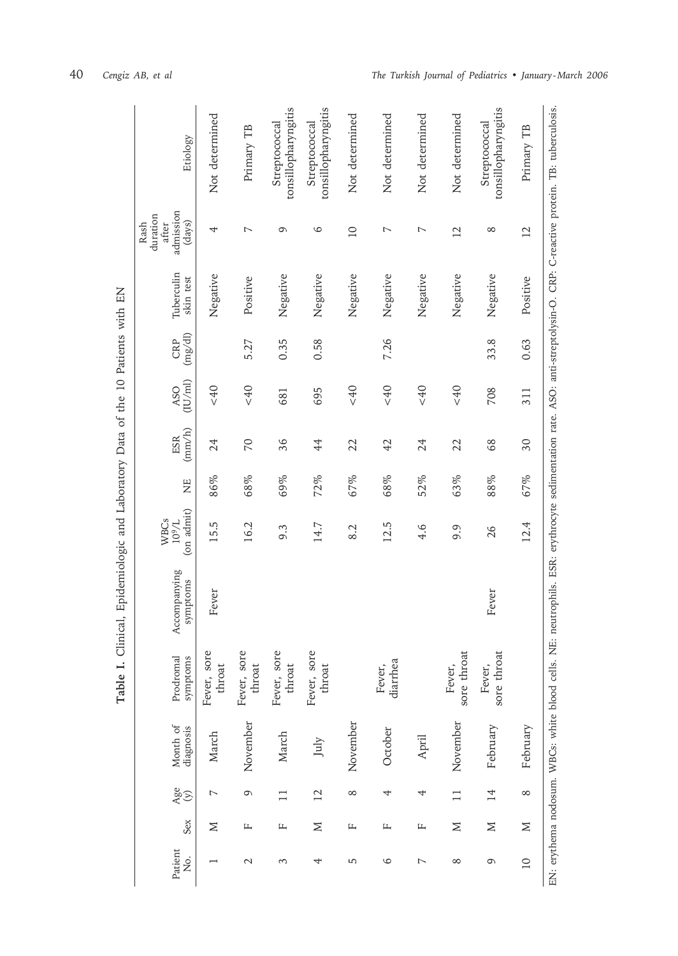| Clinical, Epidemiologic and Laboratory Data of the 10 Patients with EN<br>Table I. | Etiology                                         | Not determined        | Primary TB               | tonsillopharyngitis<br>Streptococcal | tonsillopharyngitis<br>Streptococcal | Not determined  | Not determined     | Not determined | Not determined        | tonsillopharyngitis<br>Streptococcal | Primary TB      | NE: neutrophils. ESR: erythrocyte sedimentation rate. ASO: anti-streptolysin-O. CRP: C-reactive protein. TB: tuberculosis. |
|------------------------------------------------------------------------------------|--------------------------------------------------|-----------------------|--------------------------|--------------------------------------|--------------------------------------|-----------------|--------------------|----------------|-----------------------|--------------------------------------|-----------------|----------------------------------------------------------------------------------------------------------------------------|
|                                                                                    | admission<br>duration<br>(days)<br>Rash<br>after | 4                     | $\overline{\phantom{0}}$ | G                                    | 6                                    | $\overline{10}$ | 7                  | $\overline{ }$ | $\overline{2}$        | $\infty$                             | $\overline{12}$ |                                                                                                                            |
|                                                                                    | Tuberculin<br>skin test                          | Negative              | Positive                 | Negative                             | Negative                             | Negative        | Negative           | Negative       | Negative              | Negative                             | Positive        |                                                                                                                            |
|                                                                                    | (mg/dl)<br>CRP                                   |                       | 5.27                     | 0.35                                 | 0.58                                 |                 | 7.26               |                |                       | 33.8                                 | 0.63            |                                                                                                                            |
|                                                                                    | (1U/ml)<br>ASO                                   | 640                   | < 40                     | 681                                  | 695                                  | < 40            | < 40               | < 40           | < 40                  | 708                                  | 311             |                                                                                                                            |
|                                                                                    | (mm/h)<br><b>ESR</b>                             | 24                    | 20                       | 36                                   | 44                                   | 22              | 42                 | 24             | 22                    | 68                                   | 30              |                                                                                                                            |
|                                                                                    | Ë                                                | 86%                   | 68%                      | 69%                                  | 72%                                  | 67%             | 68%                | 52%            | 63%                   | 88%                                  | 67%             |                                                                                                                            |
|                                                                                    | (on admit)<br><b>WBCs</b><br>$10^9/L$            | 15.5                  | 16.2                     | 9.3                                  | 14.7                                 | 8.2             | 12.5               | 4.6            | 9.9                   | 26                                   | 12.4            |                                                                                                                            |
|                                                                                    | Accompanying<br>symptoms                         | Fever                 |                          |                                      |                                      |                 |                    |                |                       | Fever                                |                 |                                                                                                                            |
|                                                                                    | Prodromal<br>symptoms                            | Fever, sore<br>throat | Fever, sore<br>throat    | Fever, sore<br>throat                | Fever, sore<br>throat                |                 | diarrhea<br>Fever, |                | sore throat<br>Fever, | sore throat<br>Fever,                |                 |                                                                                                                            |
|                                                                                    | Month of<br>diagnosis                            | March                 | November                 | March                                | July                                 | November        | October            | April          | November              | February                             | February        | EN: erythema nodosum. WBCs: white blood cells.                                                                             |
|                                                                                    | Age<br>(y)                                       | $\overline{ }$        | 9                        | $\Box$                               | $\overline{\mathfrak{L}}$            | $\infty$        | 4                  | 4              | $\Box$                | 14                                   | $\infty$        |                                                                                                                            |
|                                                                                    | Sex                                              | Σ                     | щ                        | Щ                                    | Σ                                    | Щ               | щ                  | щ              | $\geq$                | $\geq$                               | $\geq$          |                                                                                                                            |
|                                                                                    | Patient<br>ģ.                                    |                       | $\mathcal{L}$            | 3                                    | 4                                    | 5               | $\circ$            | $\overline{ }$ | $^{\circ}$            | 6                                    | $\overline{10}$ |                                                                                                                            |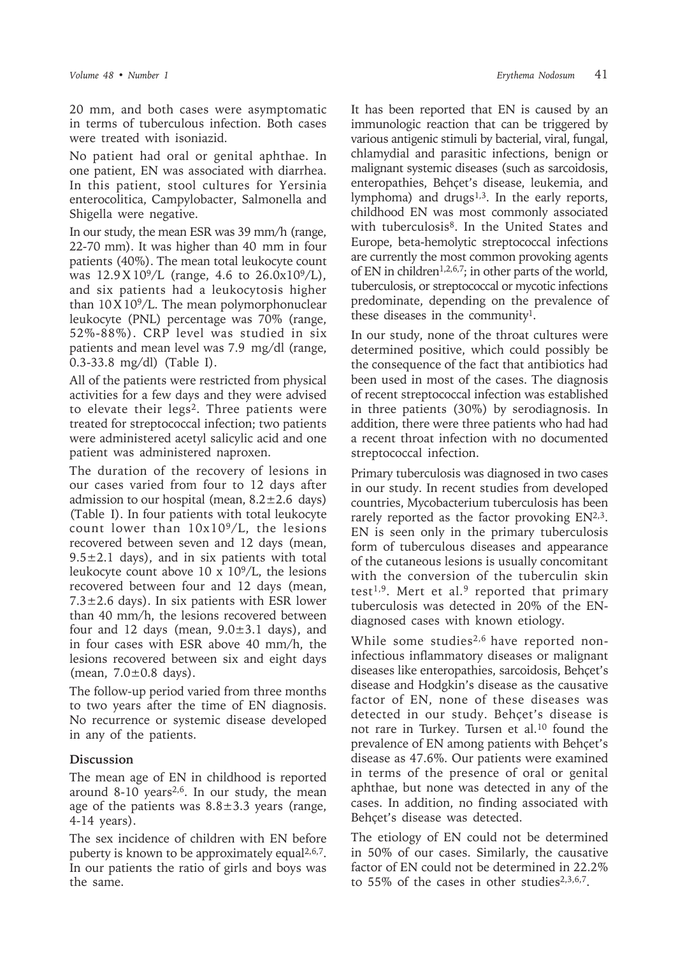were treated with isoniazid.

20 mm, and both cases were asymptomatic in terms of tuberculous infection. Both cases

No patient had oral or genital aphthae. In one patient, EN was associated with diarrhea. In this patient, stool cultures for Yersinia enterocolitica, Campylobacter, Salmonella and Shigella were negative.

In our study, the mean ESR was 39 mm/h (range, 22-70 mm). It was higher than 40 mm in four patients (40%). The mean total leukocyte count was  $12.9 \text{ X } 10^9/\text{L}$  (range, 4.6 to  $26.0 \text{ x } 10^9/\text{L}$ ), and six patients had a leukocytosis higher than  $10X109/L$ . The mean polymorphonuclear leukocyte (PNL) percentage was 70% (range, 52%-88%). CRP level was studied in six patients and mean level was 7.9 mg/dl (range, 0.3-33.8 mg/dl) (Table I).

All of the patients were restricted from physical activities for a few days and they were advised to elevate their legs<sup>2</sup>. Three patients were treated for streptococcal infection; two patients were administered acetyl salicylic acid and one patient was administered naproxen.

The duration of the recovery of lesions in our cases varied from four to 12 days after admission to our hospital (mean,  $8.2 \pm 2.6$  days) (Table I). In four patients with total leukocyte count lower than  $10x10<sup>9</sup>/L$ , the lesions recovered between seven and 12 days (mean,  $9.5 \pm 2.1$  days), and in six patients with total leukocyte count above 10 x  $10<sup>9</sup>/L$ , the lesions recovered between four and 12 days (mean,  $7.3\pm2.6$  days). In six patients with ESR lower than 40 mm/h, the lesions recovered between four and 12 days (mean,  $9.0\pm3.1$  days), and in four cases with ESR above 40 mm/h, the lesions recovered between six and eight days (mean, 7.0±0.8 days).

The follow-up period varied from three months to two years after the time of EN diagnosis. No recurrence or systemic disease developed in any of the patients.

### **Discussion**

The mean age of EN in childhood is reported around 8-10 years<sup>2,6</sup>. In our study, the mean age of the patients was  $8.8 \pm 3.3$  years (range, 4-14 years).

The sex incidence of children with EN before puberty is known to be approximately equal<sup>2,6,7</sup>. In our patients the ratio of girls and boys was the same.

It has been reported that EN is caused by an immunologic reaction that can be triggered by various antigenic stimuli by bacterial, viral, fungal, chlamydial and parasitic infections, benign or malignant systemic diseases (such as sarcoidosis, enteropathies, Behçet's disease, leukemia, and lymphoma) and drugs<sup>1,3</sup>. In the early reports, childhood EN was most commonly associated with tuberculosis<sup>8</sup>. In the United States and Europe, beta-hemolytic streptococcal infections are currently the most common provoking agents of EN in children<sup>1,2,6,7</sup>; in other parts of the world, tuberculosis, or streptococcal or mycotic infections predominate, depending on the prevalence of these diseases in the community1.

In our study, none of the throat cultures were determined positive, which could possibly be the consequence of the fact that antibiotics had been used in most of the cases. The diagnosis of recent streptococcal infection was established in three patients (30%) by serodiagnosis. In addition, there were three patients who had had a recent throat infection with no documented streptococcal infection.

Primary tuberculosis was diagnosed in two cases in our study. In recent studies from developed countries, Mycobacterium tuberculosis has been rarely reported as the factor provoking  $EN^{2,3}$ . EN is seen only in the primary tuberculosis form of tuberculous diseases and appearance of the cutaneous lesions is usually concomitant with the conversion of the tuberculin skin test<sup>1,9</sup>. Mert et al.<sup>9</sup> reported that primary tuberculosis was detected in 20% of the ENdiagnosed cases with known etiology.

While some studies<sup>2,6</sup> have reported noninfectious inflammatory diseases or malignant diseases like enteropathies, sarcoidosis, Behçet's disease and Hodgkin's disease as the causative factor of EN, none of these diseases was detected in our study. Behçet's disease is not rare in Turkey. Tursen et al.10 found the prevalence of EN among patients with Behçet's disease as 47.6%. Our patients were examined in terms of the presence of oral or genital aphthae, but none was detected in any of the cases. In addition, no finding associated with Behçet's disease was detected.

The etiology of EN could not be determined in 50% of our cases. Similarly, the causative factor of EN could not be determined in 22.2% to  $55\%$  of the cases in other studies<sup>2,3,6,7</sup>.